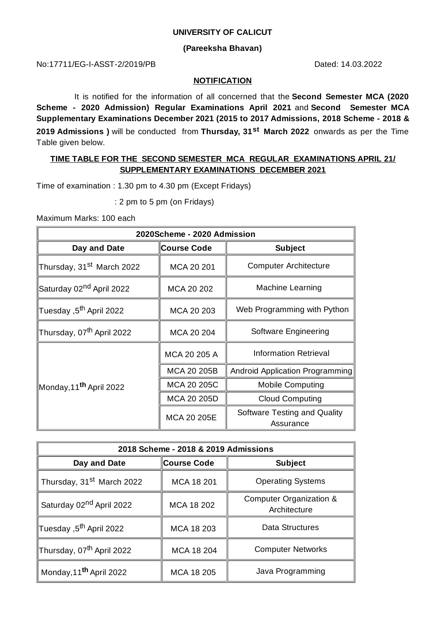## **UNIVERSITY OF CALICUT**

## **(Pareeksha Bhavan)**

No:17711/EG-I-ASST-2/2019/PB Dated: 14.03.2022

#### **NOTIFICATION**

It is notified for the information of all concerned that the **Second Semester MCA (2020 Scheme - 2020 Admission) Regular Examinations April 2021** and **Second Semester MCA Supplementary Examinations December 2021 (2015 to 2017 Admissions, 2018 Scheme - 2018 & 2019 Admissions )** will be conducted from **Thursday, 31 st March 2022** onwards as per the Time Table given below.

# **TIME TABLE FOR THE SECOND SEMESTER MCA REGULAR EXAMINATIONS APRIL 21/ SUPPLEMENTARY EXAMINATIONS DECEMBER 2021**

Time of examination : 1.30 pm to 4.30 pm (Except Fridays)

: 2 pm to 5 pm (on Fridays)

Maximum Marks: 100 each

| 2020Scheme - 2020 Admission           |                    |                                           |  |
|---------------------------------------|--------------------|-------------------------------------------|--|
| Day and Date                          | <b>Course Code</b> | <b>Subject</b>                            |  |
| Thursday, 31 <sup>st</sup> March 2022 | MCA 20 201         | <b>Computer Architecture</b>              |  |
| Saturday 02 <sup>nd</sup> April 2022  | MCA 20 202         | <b>Machine Learning</b>                   |  |
| Tuesday ,5 <sup>th</sup> April 2022   | MCA 20 203         | Web Programming with Python               |  |
| Thursday, 07 <sup>th</sup> April 2022 | MCA 20 204         | Software Engineering                      |  |
| Monday,11 <sup>th</sup> April 2022    | MCA 20 205 A       | Information Retrieval                     |  |
|                                       | MCA 20 205B        | Android Application Programming           |  |
|                                       | MCA 20 205C        | <b>Mobile Computing</b>                   |  |
|                                       | MCA 20 205D        | <b>Cloud Computing</b>                    |  |
|                                       | MCA 20 205E        | Software Testing and Quality<br>Assurance |  |

| 2018 Scheme - 2018 & 2019 Admissions  |             |                                         |  |
|---------------------------------------|-------------|-----------------------------------------|--|
| Day and Date                          | Course Code | <b>Subject</b>                          |  |
| Thursday, 31 <sup>st</sup> March 2022 | MCA 18 201  | <b>Operating Systems</b>                |  |
| Saturday 02 <sup>nd</sup> April 2022  | MCA 18 202  | Computer Organization &<br>Architecture |  |
| ∏uesday ,5 <sup>th</sup> April 2022   | MCA 18 203  | Data Structures                         |  |
| Thursday, 07 <sup>th</sup> April 2022 | MCA 18 204  | <b>Computer Networks</b>                |  |
| Monday, 11 <sup>th</sup> April 2022   | MCA 18 205  | Java Programming                        |  |